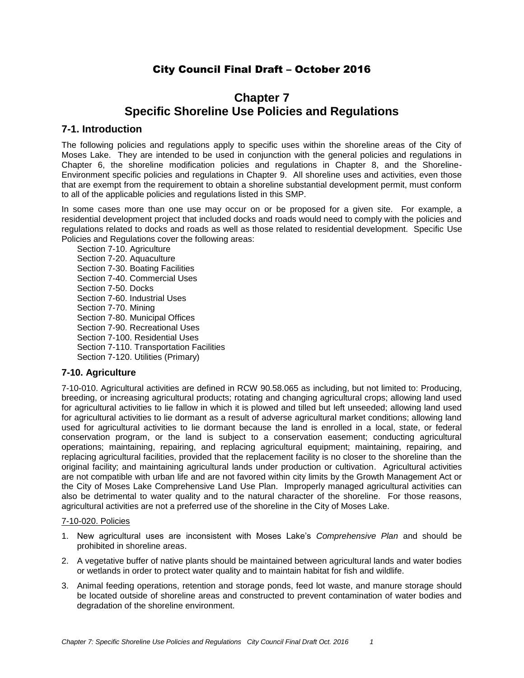# City Council Final Draft – October 2016

# **Chapter 7 Specific Shoreline Use Policies and Regulations**

# **7-1. Introduction**

The following policies and regulations apply to specific uses within the shoreline areas of the City of Moses Lake. They are intended to be used in conjunction with the general policies and regulations in Chapter 6, the shoreline modification policies and regulations in Chapter 8, and the Shoreline-Environment specific policies and regulations in Chapter 9. All shoreline uses and activities, even those that are exempt from the requirement to obtain a shoreline substantial development permit, must conform to all of the applicable policies and regulations listed in this SMP.

In some cases more than one use may occur on or be proposed for a given site. For example, a residential development project that included docks and roads would need to comply with the policies and regulations related to docks and roads as well as those related to residential development. Specific Use Policies and Regulations cover the following areas:

Section 7-10. Agriculture Section 7-20. Aquaculture Section 7-30. Boating Facilities Section 7-40. Commercial Uses Section 7-50. Docks Section 7-60. Industrial Uses Section 7-70. Mining Section 7-80. Municipal Offices Section 7-90. Recreational Uses Section 7-100. Residential Uses Section 7-110. Transportation Facilities Section 7-120. Utilities (Primary)

# **7-10. Agriculture**

7-10-010. Agricultural activities are defined in RCW 90.58.065 as including, but not limited to: Producing, breeding, or increasing agricultural products; rotating and changing agricultural crops; allowing land used for agricultural activities to lie fallow in which it is plowed and tilled but left unseeded; allowing land used for agricultural activities to lie dormant as a result of adverse agricultural market conditions; allowing land used for agricultural activities to lie dormant because the land is enrolled in a local, state, or federal conservation program, or the land is subject to a conservation easement; conducting agricultural operations; maintaining, repairing, and replacing agricultural equipment; maintaining, repairing, and replacing agricultural facilities, provided that the replacement facility is no closer to the shoreline than the original facility; and maintaining agricultural lands under production or cultivation. Agricultural activities are not compatible with urban life and are not favored within city limits by the Growth Management Act or the City of Moses Lake Comprehensive Land Use Plan. Improperly managed agricultural activities can also be detrimental to water quality and to the natural character of the shoreline. For those reasons, agricultural activities are not a preferred use of the shoreline in the City of Moses Lake.

## 7-10-020. Policies

- 1. New agricultural uses are inconsistent with Moses Lake's *Comprehensive Plan* and should be prohibited in shoreline areas.
- 2. A vegetative buffer of native plants should be maintained between agricultural lands and water bodies or wetlands in order to protect water quality and to maintain habitat for fish and wildlife.
- 3. Animal feeding operations, retention and storage ponds, feed lot waste, and manure storage should be located outside of shoreline areas and constructed to prevent contamination of water bodies and degradation of the shoreline environment.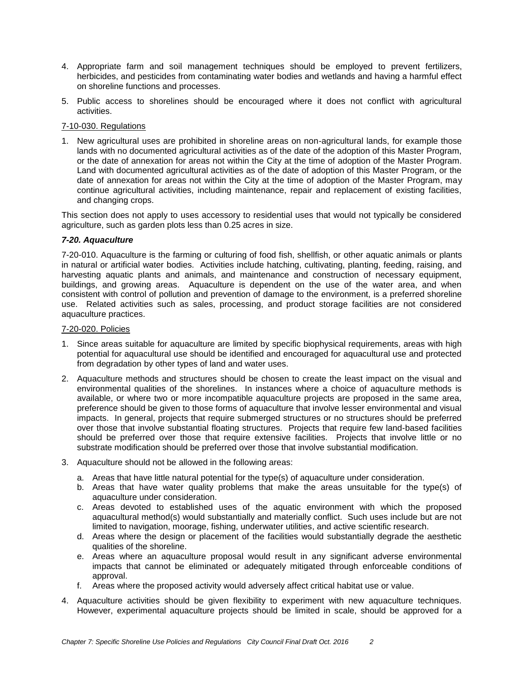- 4. Appropriate farm and soil management techniques should be employed to prevent fertilizers, herbicides, and pesticides from contaminating water bodies and wetlands and having a harmful effect on shoreline functions and processes.
- 5. Public access to shorelines should be encouraged where it does not conflict with agricultural activities.

## 7-10-030. Regulations

1. New agricultural uses are prohibited in shoreline areas on non-agricultural lands, for example those lands with no documented agricultural activities as of the date of the adoption of this Master Program, or the date of annexation for areas not within the City at the time of adoption of the Master Program. Land with documented agricultural activities as of the date of adoption of this Master Program, or the date of annexation for areas not within the City at the time of adoption of the Master Program, may continue agricultural activities, including maintenance, repair and replacement of existing facilities, and changing crops.

This section does not apply to uses accessory to residential uses that would not typically be considered agriculture, such as garden plots less than 0.25 acres in size.

## *7-20. Aquaculture*

7-20-010. Aquaculture is the farming or culturing of food fish, shellfish, or other aquatic animals or plants in natural or artificial water bodies. Activities include hatching, cultivating, planting, feeding, raising, and harvesting aquatic plants and animals, and maintenance and construction of necessary equipment, buildings, and growing areas. Aquaculture is dependent on the use of the water area, and when consistent with control of pollution and prevention of damage to the environment, is a preferred shoreline use. Related activities such as sales, processing, and product storage facilities are not considered aquaculture practices.

### 7-20-020. Policies

- 1. Since areas suitable for aquaculture are limited by specific biophysical requirements, areas with high potential for aquacultural use should be identified and encouraged for aquacultural use and protected from degradation by other types of land and water uses.
- 2. Aquaculture methods and structures should be chosen to create the least impact on the visual and environmental qualities of the shorelines. In instances where a choice of aquaculture methods is available, or where two or more incompatible aquaculture projects are proposed in the same area, preference should be given to those forms of aquaculture that involve lesser environmental and visual impacts. In general, projects that require submerged structures or no structures should be preferred over those that involve substantial floating structures. Projects that require few land-based facilities should be preferred over those that require extensive facilities. Projects that involve little or no substrate modification should be preferred over those that involve substantial modification.
- 3. Aquaculture should not be allowed in the following areas:
	- a. Areas that have little natural potential for the type(s) of aquaculture under consideration.
	- b. Areas that have water quality problems that make the areas unsuitable for the type(s) of aquaculture under consideration.
	- c. Areas devoted to established uses of the aquatic environment with which the proposed aquacultural method(s) would substantially and materially conflict. Such uses include but are not limited to navigation, moorage, fishing, underwater utilities, and active scientific research.
	- d. Areas where the design or placement of the facilities would substantially degrade the aesthetic qualities of the shoreline.
	- e. Areas where an aquaculture proposal would result in any significant adverse environmental impacts that cannot be eliminated or adequately mitigated through enforceable conditions of approval.
	- f. Areas where the proposed activity would adversely affect critical habitat use or value.
- 4. Aquaculture activities should be given flexibility to experiment with new aquaculture techniques. However, experimental aquaculture projects should be limited in scale, should be approved for a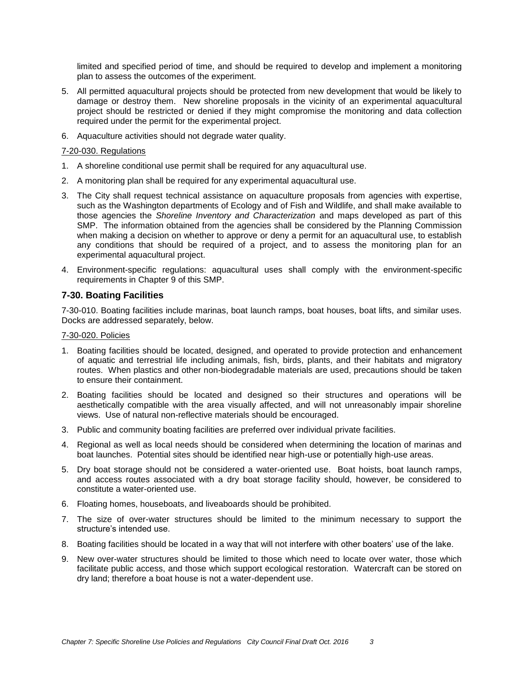limited and specified period of time, and should be required to develop and implement a monitoring plan to assess the outcomes of the experiment.

- 5. All permitted aquacultural projects should be protected from new development that would be likely to damage or destroy them. New shoreline proposals in the vicinity of an experimental aquacultural project should be restricted or denied if they might compromise the monitoring and data collection required under the permit for the experimental project.
- 6. Aquaculture activities should not degrade water quality.

## 7-20-030. Regulations

- 1. A shoreline conditional use permit shall be required for any aquacultural use.
- 2. A monitoring plan shall be required for any experimental aquacultural use.
- 3. The City shall request technical assistance on aquaculture proposals from agencies with expertise, such as the Washington departments of Ecology and of Fish and Wildlife, and shall make available to those agencies the *Shoreline Inventory and Characterization* and maps developed as part of this SMP. The information obtained from the agencies shall be considered by the Planning Commission when making a decision on whether to approve or deny a permit for an aquacultural use, to establish any conditions that should be required of a project, and to assess the monitoring plan for an experimental aquacultural project.
- 4. Environment-specific regulations: aquacultural uses shall comply with the environment-specific requirements in Chapter 9 of this SMP.

## **7-30. Boating Facilities**

7-30-010. Boating facilities include marinas, boat launch ramps, boat houses, boat lifts, and similar uses. Docks are addressed separately, below.

## 7-30-020. Policies

- 1. Boating facilities should be located, designed, and operated to provide protection and enhancement of aquatic and terrestrial life including animals, fish, birds, plants, and their habitats and migratory routes. When plastics and other non-biodegradable materials are used, precautions should be taken to ensure their containment.
- 2. Boating facilities should be located and designed so their structures and operations will be aesthetically compatible with the area visually affected, and will not unreasonably impair shoreline views. Use of natural non-reflective materials should be encouraged.
- 3. Public and community boating facilities are preferred over individual private facilities.
- 4. Regional as well as local needs should be considered when determining the location of marinas and boat launches. Potential sites should be identified near high-use or potentially high-use areas.
- 5. Dry boat storage should not be considered a water-oriented use. Boat hoists, boat launch ramps, and access routes associated with a dry boat storage facility should, however, be considered to constitute a water-oriented use.
- 6. Floating homes, houseboats, and liveaboards should be prohibited.
- 7. The size of over-water structures should be limited to the minimum necessary to support the structure's intended use.
- 8. Boating facilities should be located in a way that will not interfere with other boaters' use of the lake.
- 9. New over-water structures should be limited to those which need to locate over water, those which facilitate public access, and those which support ecological restoration. Watercraft can be stored on dry land; therefore a boat house is not a water-dependent use.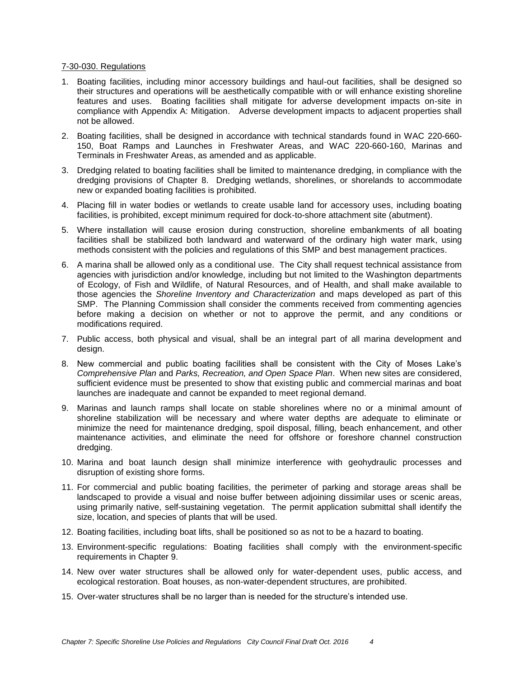#### 7-30-030. Regulations

- 1. Boating facilities, including minor accessory buildings and haul-out facilities, shall be designed so their structures and operations will be aesthetically compatible with or will enhance existing shoreline features and uses. Boating facilities shall mitigate for adverse development impacts on-site in compliance with Appendix A: Mitigation. Adverse development impacts to adjacent properties shall not be allowed.
- 2. Boating facilities, shall be designed in accordance with technical standards found in WAC 220-660- 150, Boat Ramps and Launches in Freshwater Areas, and WAC 220-660-160, Marinas and Terminals in Freshwater Areas, as amended and as applicable.
- 3. Dredging related to boating facilities shall be limited to maintenance dredging, in compliance with the dredging provisions of Chapter 8. Dredging wetlands, shorelines, or shorelands to accommodate new or expanded boating facilities is prohibited.
- 4. Placing fill in water bodies or wetlands to create usable land for accessory uses, including boating facilities, is prohibited, except minimum required for dock-to-shore attachment site (abutment).
- 5. Where installation will cause erosion during construction, shoreline embankments of all boating facilities shall be stabilized both landward and waterward of the ordinary high water mark, using methods consistent with the policies and regulations of this SMP and best management practices.
- 6. A marina shall be allowed only as a conditional use. The City shall request technical assistance from agencies with jurisdiction and/or knowledge, including but not limited to the Washington departments of Ecology, of Fish and Wildlife, of Natural Resources, and of Health, and shall make available to those agencies the *Shoreline Inventory and Characterization* and maps developed as part of this SMP. The Planning Commission shall consider the comments received from commenting agencies before making a decision on whether or not to approve the permit, and any conditions or modifications required.
- 7. Public access, both physical and visual, shall be an integral part of all marina development and design.
- 8. New commercial and public boating facilities shall be consistent with the City of Moses Lake's *Comprehensive Plan* and *Parks, Recreation, and Open Space Plan*. When new sites are considered, sufficient evidence must be presented to show that existing public and commercial marinas and boat launches are inadequate and cannot be expanded to meet regional demand.
- 9. Marinas and launch ramps shall locate on stable shorelines where no or a minimal amount of shoreline stabilization will be necessary and where water depths are adequate to eliminate or minimize the need for maintenance dredging, spoil disposal, filling, beach enhancement, and other maintenance activities, and eliminate the need for offshore or foreshore channel construction dredging.
- 10. Marina and boat launch design shall minimize interference with geohydraulic processes and disruption of existing shore forms.
- 11. For commercial and public boating facilities, the perimeter of parking and storage areas shall be landscaped to provide a visual and noise buffer between adjoining dissimilar uses or scenic areas, using primarily native, self-sustaining vegetation. The permit application submittal shall identify the size, location, and species of plants that will be used.
- 12. Boating facilities, including boat lifts, shall be positioned so as not to be a hazard to boating.
- 13. Environment-specific regulations: Boating facilities shall comply with the environment-specific requirements in Chapter 9.
- 14. New over water structures shall be allowed only for water-dependent uses, public access, and ecological restoration. Boat houses, as non-water-dependent structures, are prohibited.
- 15. Over-water structures shall be no larger than is needed for the structure's intended use.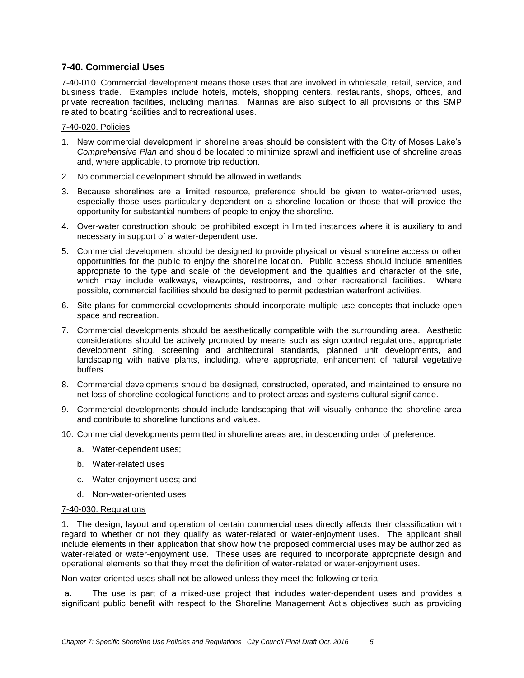# **7-40. Commercial Uses**

7-40-010. Commercial development means those uses that are involved in wholesale, retail, service, and business trade. Examples include hotels, motels, shopping centers, restaurants, shops, offices, and private recreation facilities, including marinas. Marinas are also subject to all provisions of this SMP related to boating facilities and to recreational uses.

### 7-40-020. Policies

- 1. New commercial development in shoreline areas should be consistent with the City of Moses Lake's *Comprehensive Plan* and should be located to minimize sprawl and inefficient use of shoreline areas and, where applicable, to promote trip reduction.
- 2. No commercial development should be allowed in wetlands.
- 3. Because shorelines are a limited resource, preference should be given to water-oriented uses, especially those uses particularly dependent on a shoreline location or those that will provide the opportunity for substantial numbers of people to enjoy the shoreline.
- 4. Over-water construction should be prohibited except in limited instances where it is auxiliary to and necessary in support of a water-dependent use.
- 5. Commercial development should be designed to provide physical or visual shoreline access or other opportunities for the public to enjoy the shoreline location. Public access should include amenities appropriate to the type and scale of the development and the qualities and character of the site, which may include walkways, viewpoints, restrooms, and other recreational facilities. Where possible, commercial facilities should be designed to permit pedestrian waterfront activities.
- 6. Site plans for commercial developments should incorporate multiple-use concepts that include open space and recreation.
- 7. Commercial developments should be aesthetically compatible with the surrounding area. Aesthetic considerations should be actively promoted by means such as sign control regulations, appropriate development siting, screening and architectural standards, planned unit developments, and landscaping with native plants, including, where appropriate, enhancement of natural vegetative buffers.
- 8. Commercial developments should be designed, constructed, operated, and maintained to ensure no net loss of shoreline ecological functions and to protect areas and systems cultural significance.
- 9. Commercial developments should include landscaping that will visually enhance the shoreline area and contribute to shoreline functions and values.
- 10. Commercial developments permitted in shoreline areas are, in descending order of preference:
	- a. Water-dependent uses;
	- b. Water-related uses
	- c. Water-enjoyment uses; and
	- d. Non-water-oriented uses

#### 7-40-030. Regulations

1. The design, layout and operation of certain commercial uses directly affects their classification with regard to whether or not they qualify as water-related or water-enjoyment uses. The applicant shall include elements in their application that show how the proposed commercial uses may be authorized as water-related or water-enjoyment use. These uses are required to incorporate appropriate design and operational elements so that they meet the definition of water-related or water-enjoyment uses.

Non-water-oriented uses shall not be allowed unless they meet the following criteria:

a. The use is part of a mixed-use project that includes water-dependent uses and provides a significant public benefit with respect to the Shoreline Management Act's objectives such as providing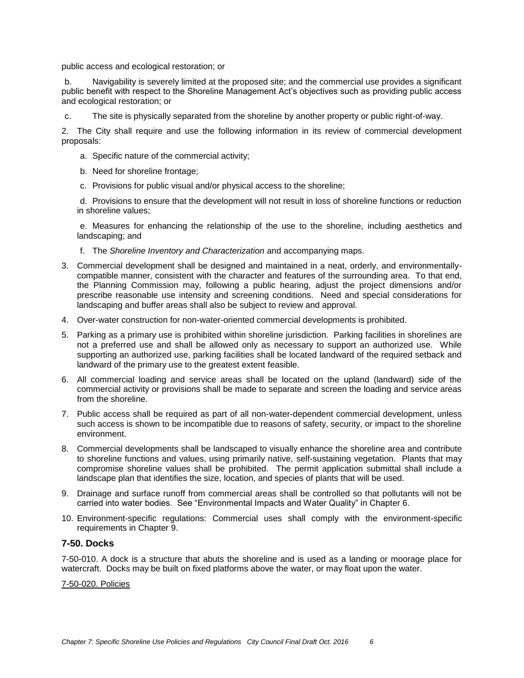public access and ecological restoration; or

b. Navigability is severely limited at the proposed site; and the commercial use provides a significant public benefit with respect to the Shoreline Management Act's objectives such as providing public access and ecological restoration; or

c. The site is physically separated from the shoreline by another property or public right-of-way.

2. The City shall require and use the following information in its review of commercial development proposals:

- a. Specific nature of the commercial activity;
- b. Need for shoreline frontage;
- c. Provisions for public visual and/or physical access to the shoreline;

d. Provisions to ensure that the development will not result in loss of shoreline functions or reduction in shoreline values;

e. Measures for enhancing the relationship of the use to the shoreline, including aesthetics and landscaping; and

- f. The *Shoreline Inventory and Characterization* and accompanying maps.
- 3. Commercial development shall be designed and maintained in a neat, orderly, and environmentallycompatible manner, consistent with the character and features of the surrounding area. To that end, the Planning Commission may, following a public hearing, adjust the project dimensions and/or prescribe reasonable use intensity and screening conditions. Need and special considerations for landscaping and buffer areas shall also be subject to review and approval.
- 4. Over-water construction for non-water-oriented commercial developments is prohibited.
- 5. Parking as a primary use is prohibited within shoreline jurisdiction. Parking facilities in shorelines are not a preferred use and shall be allowed only as necessary to support an authorized use. While supporting an authorized use, parking facilities shall be located landward of the required setback and landward of the primary use to the greatest extent feasible.
- 6. All commercial loading and service areas shall be located on the upland (landward) side of the commercial activity or provisions shall be made to separate and screen the loading and service areas from the shoreline.
- 7. Public access shall be required as part of all non-water-dependent commercial development, unless such access is shown to be incompatible due to reasons of safety, security, or impact to the shoreline environment.
- 8. Commercial developments shall be landscaped to visually enhance the shoreline area and contribute to shoreline functions and values, using primarily native, self-sustaining vegetation. Plants that may compromise shoreline values shall be prohibited. The permit application submittal shall include a landscape plan that identifies the size, location, and species of plants that will be used.
- 9. Drainage and surface runoff from commercial areas shall be controlled so that pollutants will not be carried into water bodies. See "Environmental Impacts and Water Quality" in Chapter 6.
- 10. Environment-specific regulations: Commercial uses shall comply with the environment-specific requirements in Chapter 9.

## **7-50. Docks**

7-50-010. A dock is a structure that abuts the shoreline and is used as a landing or moorage place for watercraft. Docks may be built on fixed platforms above the water, or may float upon the water.

7-50-020. Policies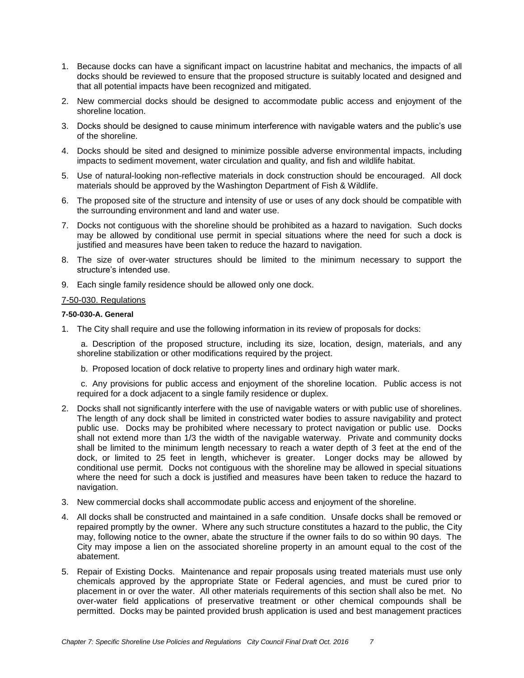- 1. Because docks can have a significant impact on lacustrine habitat and mechanics, the impacts of all docks should be reviewed to ensure that the proposed structure is suitably located and designed and that all potential impacts have been recognized and mitigated.
- 2. New commercial docks should be designed to accommodate public access and enjoyment of the shoreline location.
- 3. Docks should be designed to cause minimum interference with navigable waters and the public's use of the shoreline.
- 4. Docks should be sited and designed to minimize possible adverse environmental impacts, including impacts to sediment movement, water circulation and quality, and fish and wildlife habitat.
- 5. Use of natural-looking non-reflective materials in dock construction should be encouraged. All dock materials should be approved by the Washington Department of Fish & Wildlife.
- 6. The proposed site of the structure and intensity of use or uses of any dock should be compatible with the surrounding environment and land and water use.
- 7. Docks not contiguous with the shoreline should be prohibited as a hazard to navigation. Such docks may be allowed by conditional use permit in special situations where the need for such a dock is justified and measures have been taken to reduce the hazard to navigation.
- 8. The size of over-water structures should be limited to the minimum necessary to support the structure's intended use.
- 9. Each single family residence should be allowed only one dock.

### 7-50-030. Regulations

### **7-50-030-A. General**

1. The City shall require and use the following information in its review of proposals for docks:

a. Description of the proposed structure, including its size, location, design, materials, and any shoreline stabilization or other modifications required by the project.

b. Proposed location of dock relative to property lines and ordinary high water mark.

c. Any provisions for public access and enjoyment of the shoreline location. Public access is not required for a dock adjacent to a single family residence or duplex.

- 2. Docks shall not significantly interfere with the use of navigable waters or with public use of shorelines. The length of any dock shall be limited in constricted water bodies to assure navigability and protect public use. Docks may be prohibited where necessary to protect navigation or public use. Docks shall not extend more than 1/3 the width of the navigable waterway. Private and community docks shall be limited to the minimum length necessary to reach a water depth of 3 feet at the end of the dock, or limited to 25 feet in length, whichever is greater. Longer docks may be allowed by conditional use permit. Docks not contiguous with the shoreline may be allowed in special situations where the need for such a dock is justified and measures have been taken to reduce the hazard to navigation.
- 3. New commercial docks shall accommodate public access and enjoyment of the shoreline.
- 4. All docks shall be constructed and maintained in a safe condition. Unsafe docks shall be removed or repaired promptly by the owner. Where any such structure constitutes a hazard to the public, the City may, following notice to the owner, abate the structure if the owner fails to do so within 90 days. The City may impose a lien on the associated shoreline property in an amount equal to the cost of the abatement.
- 5. Repair of Existing Docks. Maintenance and repair proposals using treated materials must use only chemicals approved by the appropriate State or Federal agencies, and must be cured prior to placement in or over the water. All other materials requirements of this section shall also be met. No over-water field applications of preservative treatment or other chemical compounds shall be permitted. Docks may be painted provided brush application is used and best management practices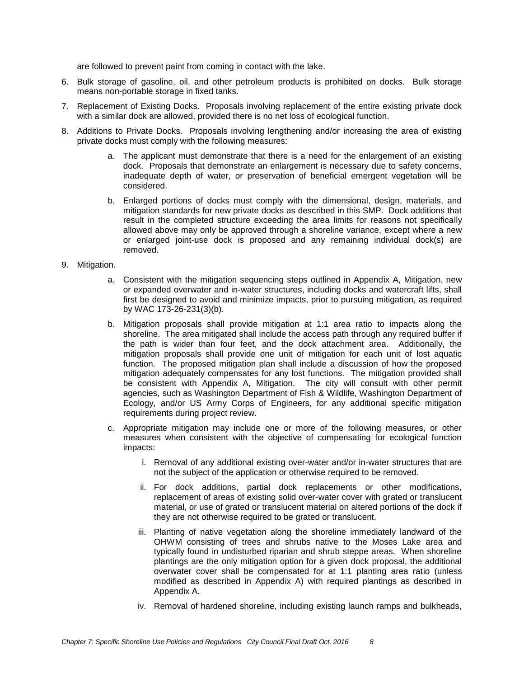are followed to prevent paint from coming in contact with the lake.

- 6. Bulk storage of gasoline, oil, and other petroleum products is prohibited on docks. Bulk storage means non-portable storage in fixed tanks.
- 7. Replacement of Existing Docks. Proposals involving replacement of the entire existing private dock with a similar dock are allowed, provided there is no net loss of ecological function.
- 8. Additions to Private Docks. Proposals involving lengthening and/or increasing the area of existing private docks must comply with the following measures:
	- a. The applicant must demonstrate that there is a need for the enlargement of an existing dock. Proposals that demonstrate an enlargement is necessary due to safety concerns, inadequate depth of water, or preservation of beneficial emergent vegetation will be considered.
	- b. Enlarged portions of docks must comply with the dimensional, design, materials, and mitigation standards for new private docks as described in this SMP. Dock additions that result in the completed structure exceeding the area limits for reasons not specifically allowed above may only be approved through a shoreline variance, except where a new or enlarged joint-use dock is proposed and any remaining individual dock(s) are removed.
- 9. Mitigation.
	- a. Consistent with the mitigation sequencing steps outlined in Appendix A, Mitigation, new or expanded overwater and in-water structures, including docks and watercraft lifts, shall first be designed to avoid and minimize impacts, prior to pursuing mitigation, as required by WAC 173-26-231(3)(b).
	- b. Mitigation proposals shall provide mitigation at 1:1 area ratio to impacts along the shoreline. The area mitigated shall include the access path through any required buffer if the path is wider than four feet, and the dock attachment area. Additionally, the mitigation proposals shall provide one unit of mitigation for each unit of lost aquatic function. The proposed mitigation plan shall include a discussion of how the proposed mitigation adequately compensates for any lost functions. The mitigation provided shall be consistent with Appendix A, Mitigation. The city will consult with other permit agencies, such as Washington Department of Fish & Wildlife, Washington Department of Ecology, and/or US Army Corps of Engineers, for any additional specific mitigation requirements during project review.
	- c. Appropriate mitigation may include one or more of the following measures, or other measures when consistent with the objective of compensating for ecological function impacts:
		- i. Removal of any additional existing over-water and/or in-water structures that are not the subject of the application or otherwise required to be removed.
		- ii. For dock additions, partial dock replacements or other modifications, replacement of areas of existing solid over-water cover with grated or translucent material, or use of grated or translucent material on altered portions of the dock if they are not otherwise required to be grated or translucent.
		- iii. Planting of native vegetation along the shoreline immediately landward of the OHWM consisting of trees and shrubs native to the Moses Lake area and typically found in undisturbed riparian and shrub steppe areas. When shoreline plantings are the only mitigation option for a given dock proposal, the additional overwater cover shall be compensated for at 1:1 planting area ratio (unless modified as described in Appendix A) with required plantings as described in Appendix A.
		- iv. Removal of hardened shoreline, including existing launch ramps and bulkheads,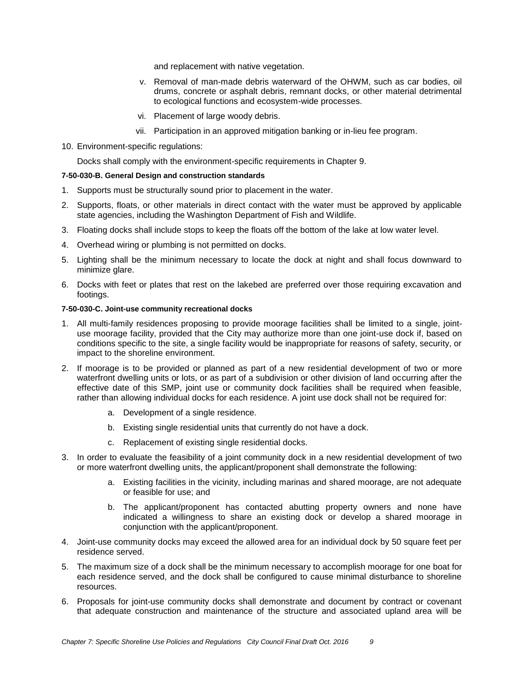and replacement with native vegetation.

- v. Removal of man-made debris waterward of the OHWM, such as car bodies, oil drums, concrete or asphalt debris, remnant docks, or other material detrimental to ecological functions and ecosystem-wide processes.
- vi. Placement of large woody debris.
- vii. Participation in an approved mitigation banking or in-lieu fee program.
- 10. Environment-specific regulations:

Docks shall comply with the environment-specific requirements in Chapter 9.

#### **7-50-030-B. General Design and construction standards**

- 1. Supports must be structurally sound prior to placement in the water.
- 2. Supports, floats, or other materials in direct contact with the water must be approved by applicable state agencies, including the Washington Department of Fish and Wildlife.
- 3. Floating docks shall include stops to keep the floats off the bottom of the lake at low water level.
- 4. Overhead wiring or plumbing is not permitted on docks.
- 5. Lighting shall be the minimum necessary to locate the dock at night and shall focus downward to minimize glare.
- 6. Docks with feet or plates that rest on the lakebed are preferred over those requiring excavation and footings.

### **7-50-030-C. Joint-use community recreational docks**

- 1. All multi-family residences proposing to provide moorage facilities shall be limited to a single, jointuse moorage facility, provided that the City may authorize more than one joint-use dock if, based on conditions specific to the site, a single facility would be inappropriate for reasons of safety, security, or impact to the shoreline environment.
- 2. If moorage is to be provided or planned as part of a new residential development of two or more waterfront dwelling units or lots, or as part of a subdivision or other division of land occurring after the effective date of this SMP, joint use or community dock facilities shall be required when feasible, rather than allowing individual docks for each residence. A joint use dock shall not be required for:
	- a. Development of a single residence.
	- b. Existing single residential units that currently do not have a dock.
	- c. Replacement of existing single residential docks.
- 3. In order to evaluate the feasibility of a joint community dock in a new residential development of two or more waterfront dwelling units, the applicant/proponent shall demonstrate the following:
	- a. Existing facilities in the vicinity, including marinas and shared moorage, are not adequate or feasible for use; and
	- b. The applicant/proponent has contacted abutting property owners and none have indicated a willingness to share an existing dock or develop a shared moorage in conjunction with the applicant/proponent.
- 4. Joint-use community docks may exceed the allowed area for an individual dock by 50 square feet per residence served.
- 5. The maximum size of a dock shall be the minimum necessary to accomplish moorage for one boat for each residence served, and the dock shall be configured to cause minimal disturbance to shoreline resources.
- 6. Proposals for joint-use community docks shall demonstrate and document by contract or covenant that adequate construction and maintenance of the structure and associated upland area will be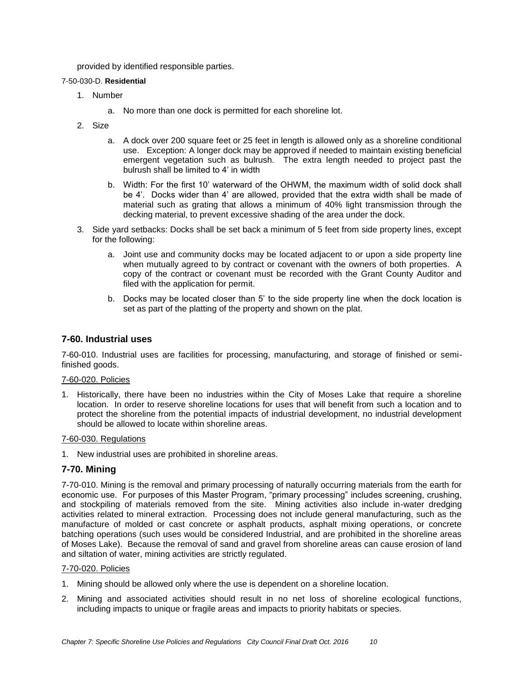provided by identified responsible parties.

## 7-50-030-D. **Residential**

- 1. Number
	- a. No more than one dock is permitted for each shoreline lot.
- 2. Size
	- a. A dock over 200 square feet or 25 feet in length is allowed only as a shoreline conditional use. Exception: A longer dock may be approved if needed to maintain existing beneficial emergent vegetation such as bulrush. The extra length needed to project past the bulrush shall be limited to 4' in width
	- b. Width: For the first 10' waterward of the OHWM, the maximum width of solid dock shall be 4'. Docks wider than 4' are allowed, provided that the extra width shall be made of material such as grating that allows a minimum of 40% light transmission through the decking material, to prevent excessive shading of the area under the dock.
- 3. Side yard setbacks: Docks shall be set back a minimum of 5 feet from side property lines, except for the following:
	- a. Joint use and community docks may be located adjacent to or upon a side property line when mutually agreed to by contract or covenant with the owners of both properties. A copy of the contract or covenant must be recorded with the Grant County Auditor and filed with the application for permit.
	- b. Docks may be located closer than 5' to the side property line when the dock location is set as part of the platting of the property and shown on the plat.

## **7-60. Industrial uses**

7-60-010. Industrial uses are facilities for processing, manufacturing, and storage of finished or semifinished goods.

#### 7-60-020. Policies

1. Historically, there have been no industries within the City of Moses Lake that require a shoreline location. In order to reserve shoreline locations for uses that will benefit from such a location and to protect the shoreline from the potential impacts of industrial development, no industrial development should be allowed to locate within shoreline areas.

### 7-60-030. Regulations

1. New industrial uses are prohibited in shoreline areas.

## **7-70. Mining**

7-70-010. Mining is the removal and primary processing of naturally occurring materials from the earth for economic use. For purposes of this Master Program, "primary processing" includes screening, crushing, and stockpiling of materials removed from the site. Mining activities also include in-water dredging activities related to mineral extraction. Processing does not include general manufacturing, such as the manufacture of molded or cast concrete or asphalt products, asphalt mixing operations, or concrete batching operations (such uses would be considered Industrial, and are prohibited in the shoreline areas of Moses Lake). Because the removal of sand and gravel from shoreline areas can cause erosion of land and siltation of water, mining activities are strictly regulated.

#### 7-70-020. Policies

- 1. Mining should be allowed only where the use is dependent on a shoreline location.
- 2. Mining and associated activities should result in no net loss of shoreline ecological functions, including impacts to unique or fragile areas and impacts to priority habitats or species.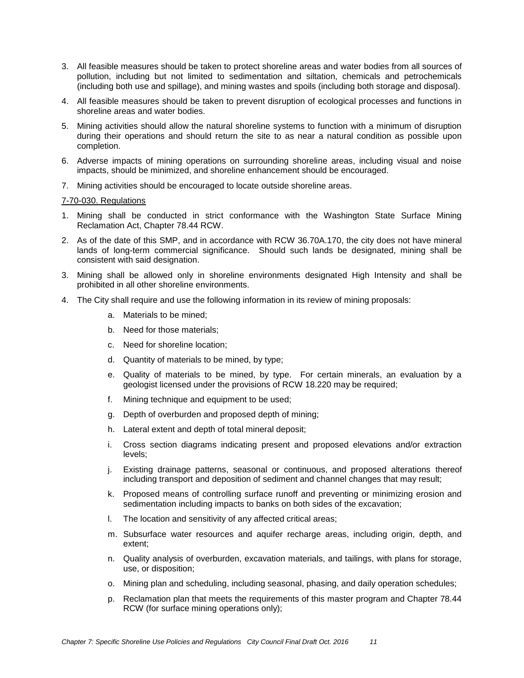- 3. All feasible measures should be taken to protect shoreline areas and water bodies from all sources of pollution, including but not limited to sedimentation and siltation, chemicals and petrochemicals (including both use and spillage), and mining wastes and spoils (including both storage and disposal).
- 4. All feasible measures should be taken to prevent disruption of ecological processes and functions in shoreline areas and water bodies.
- 5. Mining activities should allow the natural shoreline systems to function with a minimum of disruption during their operations and should return the site to as near a natural condition as possible upon completion.
- 6. Adverse impacts of mining operations on surrounding shoreline areas, including visual and noise impacts, should be minimized, and shoreline enhancement should be encouraged.
- 7. Mining activities should be encouraged to locate outside shoreline areas.

### 7-70-030. Regulations

- 1. Mining shall be conducted in strict conformance with the Washington State Surface Mining Reclamation Act, Chapter 78.44 RCW.
- 2. As of the date of this SMP, and in accordance with RCW 36.70A.170, the city does not have mineral lands of long-term commercial significance. Should such lands be designated, mining shall be consistent with said designation.
- 3. Mining shall be allowed only in shoreline environments designated High Intensity and shall be prohibited in all other shoreline environments.
- 4. The City shall require and use the following information in its review of mining proposals:
	- a. Materials to be mined;
	- b. Need for those materials;
	- c. Need for shoreline location;
	- d. Quantity of materials to be mined, by type;
	- e. Quality of materials to be mined, by type. For certain minerals, an evaluation by a geologist licensed under the provisions of RCW 18.220 may be required;
	- f. Mining technique and equipment to be used;
	- g. Depth of overburden and proposed depth of mining;
	- h. Lateral extent and depth of total mineral deposit;
	- i. Cross section diagrams indicating present and proposed elevations and/or extraction levels;
	- j. Existing drainage patterns, seasonal or continuous, and proposed alterations thereof including transport and deposition of sediment and channel changes that may result;
	- k. Proposed means of controlling surface runoff and preventing or minimizing erosion and sedimentation including impacts to banks on both sides of the excavation;
	- l. The location and sensitivity of any affected critical areas;
	- m. Subsurface water resources and aquifer recharge areas, including origin, depth, and extent;
	- n. Quality analysis of overburden, excavation materials, and tailings, with plans for storage, use, or disposition;
	- o. Mining plan and scheduling, including seasonal, phasing, and daily operation schedules;
	- p. Reclamation plan that meets the requirements of this master program and Chapter 78.44 RCW (for surface mining operations only);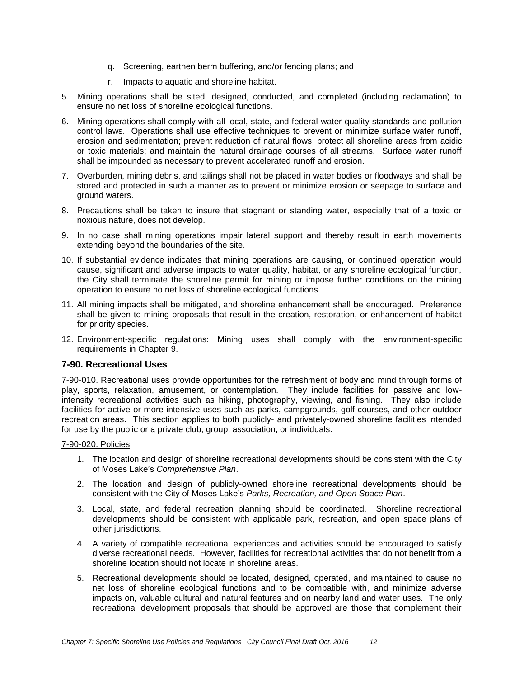- q. Screening, earthen berm buffering, and/or fencing plans; and
- r. Impacts to aquatic and shoreline habitat.
- 5. Mining operations shall be sited, designed, conducted, and completed (including reclamation) to ensure no net loss of shoreline ecological functions.
- 6. Mining operations shall comply with all local, state, and federal water quality standards and pollution control laws. Operations shall use effective techniques to prevent or minimize surface water runoff, erosion and sedimentation; prevent reduction of natural flows; protect all shoreline areas from acidic or toxic materials; and maintain the natural drainage courses of all streams. Surface water runoff shall be impounded as necessary to prevent accelerated runoff and erosion.
- 7. Overburden, mining debris, and tailings shall not be placed in water bodies or floodways and shall be stored and protected in such a manner as to prevent or minimize erosion or seepage to surface and ground waters.
- 8. Precautions shall be taken to insure that stagnant or standing water, especially that of a toxic or noxious nature, does not develop.
- 9. In no case shall mining operations impair lateral support and thereby result in earth movements extending beyond the boundaries of the site.
- 10. If substantial evidence indicates that mining operations are causing, or continued operation would cause, significant and adverse impacts to water quality, habitat, or any shoreline ecological function, the City shall terminate the shoreline permit for mining or impose further conditions on the mining operation to ensure no net loss of shoreline ecological functions.
- 11. All mining impacts shall be mitigated, and shoreline enhancement shall be encouraged. Preference shall be given to mining proposals that result in the creation, restoration, or enhancement of habitat for priority species.
- 12. Environment-specific regulations: Mining uses shall comply with the environment-specific requirements in Chapter 9.

# **7-90. Recreational Uses**

7-90-010. Recreational uses provide opportunities for the refreshment of body and mind through forms of play, sports, relaxation, amusement, or contemplation. They include facilities for passive and lowintensity recreational activities such as hiking, photography, viewing, and fishing. They also include facilities for active or more intensive uses such as parks, campgrounds, golf courses, and other outdoor recreation areas. This section applies to both publicly- and privately-owned shoreline facilities intended for use by the public or a private club, group, association, or individuals.

## 7-90-020. Policies

- 1. The location and design of shoreline recreational developments should be consistent with the City of Moses Lake's *Comprehensive Plan*.
- 2. The location and design of publicly-owned shoreline recreational developments should be consistent with the City of Moses Lake's *Parks, Recreation, and Open Space Plan*.
- 3. Local, state, and federal recreation planning should be coordinated. Shoreline recreational developments should be consistent with applicable park, recreation, and open space plans of other jurisdictions.
- 4. A variety of compatible recreational experiences and activities should be encouraged to satisfy diverse recreational needs. However, facilities for recreational activities that do not benefit from a shoreline location should not locate in shoreline areas.
- 5. Recreational developments should be located, designed, operated, and maintained to cause no net loss of shoreline ecological functions and to be compatible with, and minimize adverse impacts on, valuable cultural and natural features and on nearby land and water uses. The only recreational development proposals that should be approved are those that complement their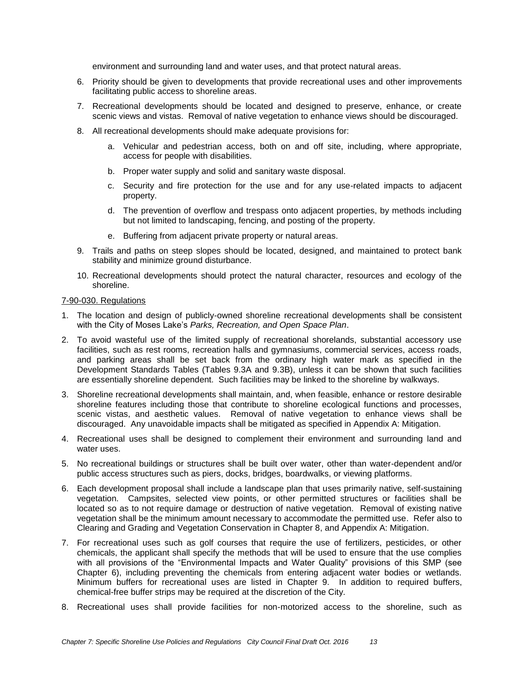environment and surrounding land and water uses, and that protect natural areas.

- 6. Priority should be given to developments that provide recreational uses and other improvements facilitating public access to shoreline areas.
- 7. Recreational developments should be located and designed to preserve, enhance, or create scenic views and vistas. Removal of native vegetation to enhance views should be discouraged.
- 8. All recreational developments should make adequate provisions for:
	- a. Vehicular and pedestrian access, both on and off site, including, where appropriate, access for people with disabilities.
	- b. Proper water supply and solid and sanitary waste disposal.
	- c. Security and fire protection for the use and for any use-related impacts to adjacent property.
	- d. The prevention of overflow and trespass onto adjacent properties, by methods including but not limited to landscaping, fencing, and posting of the property.
	- e. Buffering from adjacent private property or natural areas.
- 9. Trails and paths on steep slopes should be located, designed, and maintained to protect bank stability and minimize ground disturbance.
- 10. Recreational developments should protect the natural character, resources and ecology of the shoreline.

## 7-90-030. Regulations

- 1. The location and design of publicly-owned shoreline recreational developments shall be consistent with the City of Moses Lake's *Parks, Recreation, and Open Space Plan*.
- 2. To avoid wasteful use of the limited supply of recreational shorelands, substantial accessory use facilities, such as rest rooms, recreation halls and gymnasiums, commercial services, access roads, and parking areas shall be set back from the ordinary high water mark as specified in the Development Standards Tables (Tables 9.3A and 9.3B), unless it can be shown that such facilities are essentially shoreline dependent. Such facilities may be linked to the shoreline by walkways.
- 3. Shoreline recreational developments shall maintain, and, when feasible, enhance or restore desirable shoreline features including those that contribute to shoreline ecological functions and processes, scenic vistas, and aesthetic values. Removal of native vegetation to enhance views shall be discouraged. Any unavoidable impacts shall be mitigated as specified in Appendix A: Mitigation.
- 4. Recreational uses shall be designed to complement their environment and surrounding land and water uses.
- 5. No recreational buildings or structures shall be built over water, other than water-dependent and/or public access structures such as piers, docks, bridges, boardwalks, or viewing platforms.
- 6. Each development proposal shall include a landscape plan that uses primarily native, self-sustaining vegetation. Campsites, selected view points, or other permitted structures or facilities shall be located so as to not require damage or destruction of native vegetation. Removal of existing native vegetation shall be the minimum amount necessary to accommodate the permitted use. Refer also to Clearing and Grading and Vegetation Conservation in Chapter 8, and Appendix A: Mitigation.
- 7. For recreational uses such as golf courses that require the use of fertilizers, pesticides, or other chemicals, the applicant shall specify the methods that will be used to ensure that the use complies with all provisions of the "Environmental Impacts and Water Quality" provisions of this SMP (see Chapter 6), including preventing the chemicals from entering adjacent water bodies or wetlands. Minimum buffers for recreational uses are listed in Chapter 9. In addition to required buffers, chemical-free buffer strips may be required at the discretion of the City.
- 8. Recreational uses shall provide facilities for non-motorized access to the shoreline, such as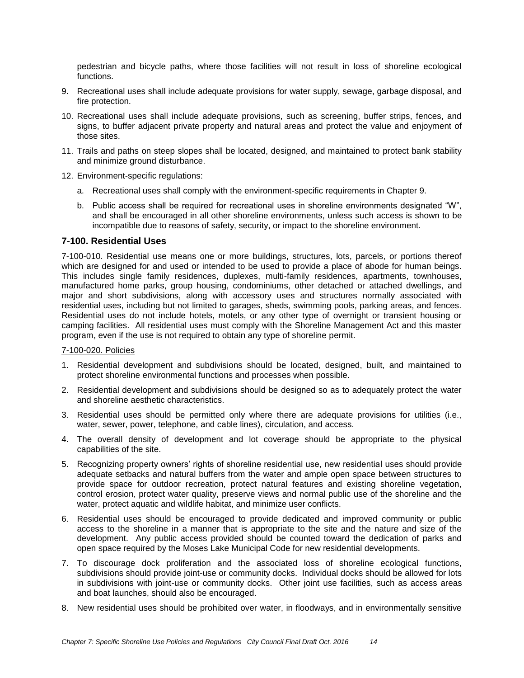pedestrian and bicycle paths, where those facilities will not result in loss of shoreline ecological functions.

- 9. Recreational uses shall include adequate provisions for water supply, sewage, garbage disposal, and fire protection.
- 10. Recreational uses shall include adequate provisions, such as screening, buffer strips, fences, and signs, to buffer adjacent private property and natural areas and protect the value and enjoyment of those sites.
- 11. Trails and paths on steep slopes shall be located, designed, and maintained to protect bank stability and minimize ground disturbance.
- 12. Environment-specific regulations:
	- a. Recreational uses shall comply with the environment-specific requirements in Chapter 9.
	- b. Public access shall be required for recreational uses in shoreline environments designated "W", and shall be encouraged in all other shoreline environments, unless such access is shown to be incompatible due to reasons of safety, security, or impact to the shoreline environment.

## **7-100. Residential Uses**

7-100-010. Residential use means one or more buildings, structures, lots, parcels, or portions thereof which are designed for and used or intended to be used to provide a place of abode for human beings. This includes single family residences, duplexes, multi-family residences, apartments, townhouses, manufactured home parks, group housing, condominiums, other detached or attached dwellings, and major and short subdivisions, along with accessory uses and structures normally associated with residential uses, including but not limited to garages, sheds, swimming pools, parking areas, and fences. Residential uses do not include hotels, motels, or any other type of overnight or transient housing or camping facilities. All residential uses must comply with the Shoreline Management Act and this master program, even if the use is not required to obtain any type of shoreline permit.

## 7-100-020. Policies

- 1. Residential development and subdivisions should be located, designed, built, and maintained to protect shoreline environmental functions and processes when possible.
- 2. Residential development and subdivisions should be designed so as to adequately protect the water and shoreline aesthetic characteristics.
- 3. Residential uses should be permitted only where there are adequate provisions for utilities (i.e., water, sewer, power, telephone, and cable lines), circulation, and access.
- 4. The overall density of development and lot coverage should be appropriate to the physical capabilities of the site.
- 5. Recognizing property owners' rights of shoreline residential use, new residential uses should provide adequate setbacks and natural buffers from the water and ample open space between structures to provide space for outdoor recreation, protect natural features and existing shoreline vegetation, control erosion, protect water quality, preserve views and normal public use of the shoreline and the water, protect aquatic and wildlife habitat, and minimize user conflicts.
- 6. Residential uses should be encouraged to provide dedicated and improved community or public access to the shoreline in a manner that is appropriate to the site and the nature and size of the development. Any public access provided should be counted toward the dedication of parks and open space required by the Moses Lake Municipal Code for new residential developments.
- 7. To discourage dock proliferation and the associated loss of shoreline ecological functions, subdivisions should provide joint-use or community docks. Individual docks should be allowed for lots in subdivisions with joint-use or community docks. Other joint use facilities, such as access areas and boat launches, should also be encouraged.
- 8. New residential uses should be prohibited over water, in floodways, and in environmentally sensitive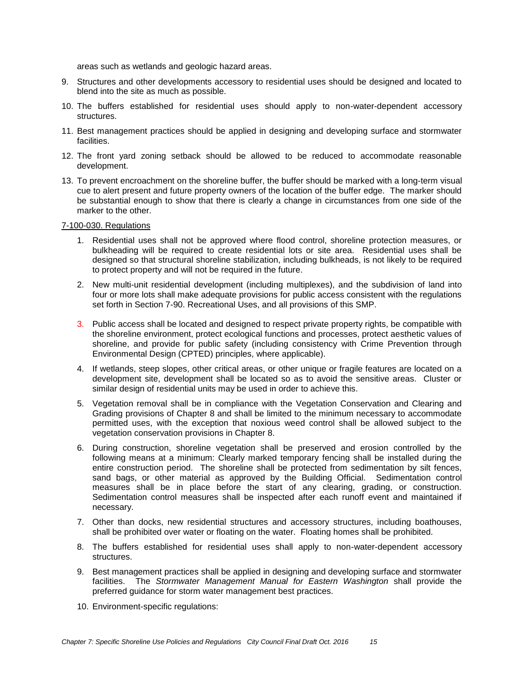areas such as wetlands and geologic hazard areas.

- 9. Structures and other developments accessory to residential uses should be designed and located to blend into the site as much as possible.
- 10. The buffers established for residential uses should apply to non-water-dependent accessory structures.
- 11. Best management practices should be applied in designing and developing surface and stormwater facilities.
- 12. The front yard zoning setback should be allowed to be reduced to accommodate reasonable development.
- 13. To prevent encroachment on the shoreline buffer, the buffer should be marked with a long-term visual cue to alert present and future property owners of the location of the buffer edge. The marker should be substantial enough to show that there is clearly a change in circumstances from one side of the marker to the other.

## 7-100-030. Regulations

- 1. Residential uses shall not be approved where flood control, shoreline protection measures, or bulkheading will be required to create residential lots or site area. Residential uses shall be designed so that structural shoreline stabilization, including bulkheads, is not likely to be required to protect property and will not be required in the future.
- 2. New multi-unit residential development (including multiplexes), and the subdivision of land into four or more lots shall make adequate provisions for public access consistent with the regulations set forth in Section 7-90. Recreational Uses, and all provisions of this SMP.
- 3. Public access shall be located and designed to respect private property rights, be compatible with the shoreline environment, protect ecological functions and processes, protect aesthetic values of shoreline, and provide for public safety (including consistency with Crime Prevention through Environmental Design (CPTED) principles, where applicable).
- 4. If wetlands, steep slopes, other critical areas, or other unique or fragile features are located on a development site, development shall be located so as to avoid the sensitive areas. Cluster or similar design of residential units may be used in order to achieve this.
- 5. Vegetation removal shall be in compliance with the Vegetation Conservation and Clearing and Grading provisions of Chapter 8 and shall be limited to the minimum necessary to accommodate permitted uses, with the exception that noxious weed control shall be allowed subject to the vegetation conservation provisions in Chapter 8.
- 6. During construction, shoreline vegetation shall be preserved and erosion controlled by the following means at a minimum: Clearly marked temporary fencing shall be installed during the entire construction period. The shoreline shall be protected from sedimentation by silt fences, sand bags, or other material as approved by the Building Official. Sedimentation control measures shall be in place before the start of any clearing, grading, or construction. Sedimentation control measures shall be inspected after each runoff event and maintained if necessary.
- 7. Other than docks, new residential structures and accessory structures, including boathouses, shall be prohibited over water or floating on the water. Floating homes shall be prohibited.
- 8. The buffers established for residential uses shall apply to non-water-dependent accessory structures.
- 9. Best management practices shall be applied in designing and developing surface and stormwater facilities. The *Stormwater Management Manual for Eastern Washington* shall provide the preferred guidance for storm water management best practices.
- 10. Environment-specific regulations: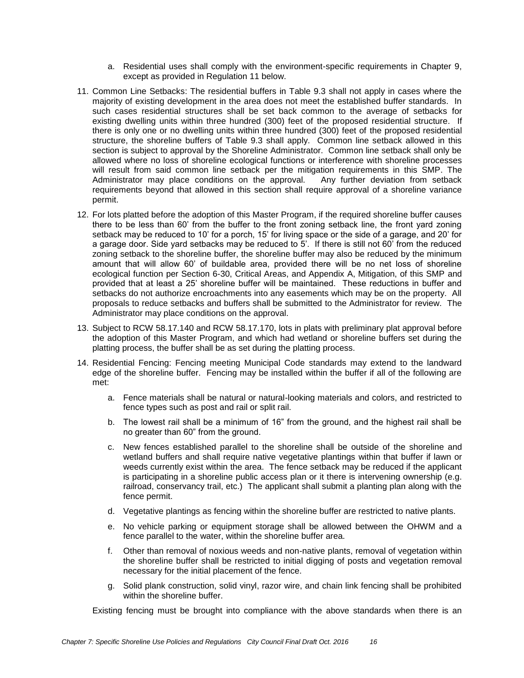- a. Residential uses shall comply with the environment-specific requirements in Chapter 9, except as provided in Regulation 11 below.
- 11. Common Line Setbacks: The residential buffers in Table 9.3 shall not apply in cases where the majority of existing development in the area does not meet the established buffer standards. In such cases residential structures shall be set back common to the average of setbacks for existing dwelling units within three hundred (300) feet of the proposed residential structure. If there is only one or no dwelling units within three hundred (300) feet of the proposed residential structure, the shoreline buffers of Table 9.3 shall apply. Common line setback allowed in this section is subject to approval by the Shoreline Administrator. Common line setback shall only be allowed where no loss of shoreline ecological functions or interference with shoreline processes will result from said common line setback per the mitigation requirements in this SMP. The Administrator may place conditions on the approval. Any further deviation from setback Administrator may place conditions on the approval. requirements beyond that allowed in this section shall require approval of a shoreline variance permit.
- 12. For lots platted before the adoption of this Master Program, if the required shoreline buffer causes there to be less than 60' from the buffer to the front zoning setback line, the front yard zoning setback may be reduced to 10' for a porch, 15' for living space or the side of a garage, and 20' for a garage door. Side yard setbacks may be reduced to  $5'$ . If there is still not  $60'$  from the reduced zoning setback to the shoreline buffer, the shoreline buffer may also be reduced by the minimum amount that will allow 60' of buildable area, provided there will be no net loss of shoreline ecological function per Section 6-30, Critical Areas, and Appendix A, Mitigation, of this SMP and provided that at least a 25' shoreline buffer will be maintained. These reductions in buffer and setbacks do not authorize encroachments into any easements which may be on the property. All proposals to reduce setbacks and buffers shall be submitted to the Administrator for review. The Administrator may place conditions on the approval.
- 13. Subject to RCW 58.17.140 and RCW 58.17.170, lots in plats with preliminary plat approval before the adoption of this Master Program, and which had wetland or shoreline buffers set during the platting process, the buffer shall be as set during the platting process.
- 14. Residential Fencing: Fencing meeting Municipal Code standards may extend to the landward edge of the shoreline buffer. Fencing may be installed within the buffer if all of the following are met:
	- a. Fence materials shall be natural or natural-looking materials and colors, and restricted to fence types such as post and rail or split rail.
	- b. The lowest rail shall be a minimum of 16" from the ground, and the highest rail shall be no greater than 60" from the ground.
	- c. New fences established parallel to the shoreline shall be outside of the shoreline and wetland buffers and shall require native vegetative plantings within that buffer if lawn or weeds currently exist within the area. The fence setback may be reduced if the applicant is participating in a shoreline public access plan or it there is intervening ownership (e.g. railroad, conservancy trail, etc.) The applicant shall submit a planting plan along with the fence permit.
	- d. Vegetative plantings as fencing within the shoreline buffer are restricted to native plants.
	- e. No vehicle parking or equipment storage shall be allowed between the OHWM and a fence parallel to the water, within the shoreline buffer area.
	- f. Other than removal of noxious weeds and non-native plants, removal of vegetation within the shoreline buffer shall be restricted to initial digging of posts and vegetation removal necessary for the initial placement of the fence.
	- g. Solid plank construction, solid vinyl, razor wire, and chain link fencing shall be prohibited within the shoreline buffer.

Existing fencing must be brought into compliance with the above standards when there is an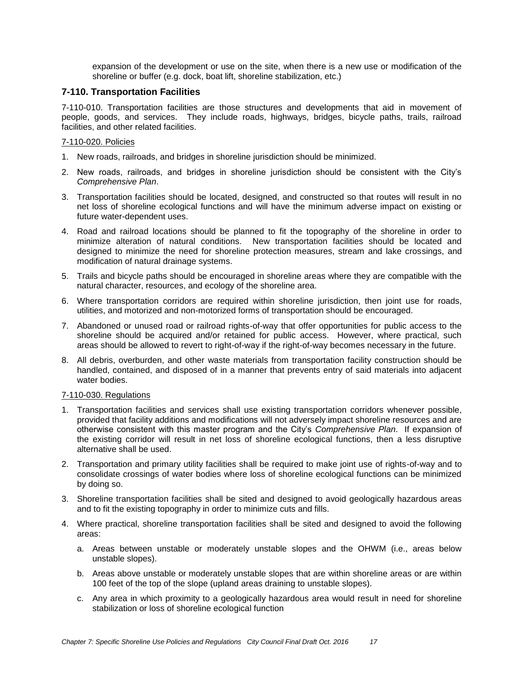expansion of the development or use on the site, when there is a new use or modification of the shoreline or buffer (e.g. dock, boat lift, shoreline stabilization, etc.)

# **7-110. Transportation Facilities**

7-110-010. Transportation facilities are those structures and developments that aid in movement of people, goods, and services. They include roads, highways, bridges, bicycle paths, trails, railroad facilities, and other related facilities.

## 7-110-020. Policies

- 1. New roads, railroads, and bridges in shoreline jurisdiction should be minimized.
- 2. New roads, railroads, and bridges in shoreline jurisdiction should be consistent with the City's *Comprehensive Plan*.
- 3. Transportation facilities should be located, designed, and constructed so that routes will result in no net loss of shoreline ecological functions and will have the minimum adverse impact on existing or future water-dependent uses.
- 4. Road and railroad locations should be planned to fit the topography of the shoreline in order to minimize alteration of natural conditions. New transportation facilities should be located and designed to minimize the need for shoreline protection measures, stream and lake crossings, and modification of natural drainage systems.
- 5. Trails and bicycle paths should be encouraged in shoreline areas where they are compatible with the natural character, resources, and ecology of the shoreline area.
- 6. Where transportation corridors are required within shoreline jurisdiction, then joint use for roads, utilities, and motorized and non-motorized forms of transportation should be encouraged.
- 7. Abandoned or unused road or railroad rights-of-way that offer opportunities for public access to the shoreline should be acquired and/or retained for public access. However, where practical, such areas should be allowed to revert to right-of-way if the right-of-way becomes necessary in the future.
- 8. All debris, overburden, and other waste materials from transportation facility construction should be handled, contained, and disposed of in a manner that prevents entry of said materials into adjacent water bodies.

## 7-110-030. Regulations

- 1. Transportation facilities and services shall use existing transportation corridors whenever possible, provided that facility additions and modifications will not adversely impact shoreline resources and are otherwise consistent with this master program and the City's *Comprehensive Plan*. If expansion of the existing corridor will result in net loss of shoreline ecological functions, then a less disruptive alternative shall be used.
- 2. Transportation and primary utility facilities shall be required to make joint use of rights-of-way and to consolidate crossings of water bodies where loss of shoreline ecological functions can be minimized by doing so.
- 3. Shoreline transportation facilities shall be sited and designed to avoid geologically hazardous areas and to fit the existing topography in order to minimize cuts and fills.
- 4. Where practical, shoreline transportation facilities shall be sited and designed to avoid the following areas:
	- a. Areas between unstable or moderately unstable slopes and the OHWM (i.e., areas below unstable slopes).
	- b. Areas above unstable or moderately unstable slopes that are within shoreline areas or are within 100 feet of the top of the slope (upland areas draining to unstable slopes).
	- c. Any area in which proximity to a geologically hazardous area would result in need for shoreline stabilization or loss of shoreline ecological function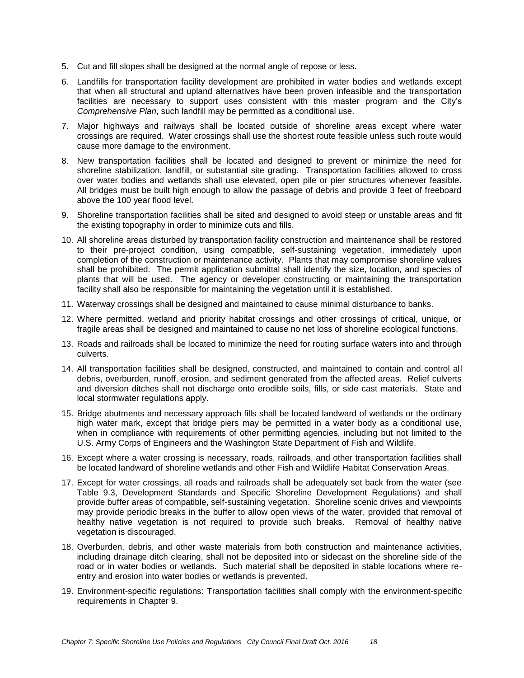- 5. Cut and fill slopes shall be designed at the normal angle of repose or less.
- 6. Landfills for transportation facility development are prohibited in water bodies and wetlands except that when all structural and upland alternatives have been proven infeasible and the transportation facilities are necessary to support uses consistent with this master program and the City's *Comprehensive Plan*, such landfill may be permitted as a conditional use.
- 7. Major highways and railways shall be located outside of shoreline areas except where water crossings are required. Water crossings shall use the shortest route feasible unless such route would cause more damage to the environment.
- 8. New transportation facilities shall be located and designed to prevent or minimize the need for shoreline stabilization, landfill, or substantial site grading. Transportation facilities allowed to cross over water bodies and wetlands shall use elevated, open pile or pier structures whenever feasible. All bridges must be built high enough to allow the passage of debris and provide 3 feet of freeboard above the 100 year flood level.
- 9. Shoreline transportation facilities shall be sited and designed to avoid steep or unstable areas and fit the existing topography in order to minimize cuts and fills.
- 10. All shoreline areas disturbed by transportation facility construction and maintenance shall be restored to their pre-project condition, using compatible, self-sustaining vegetation, immediately upon completion of the construction or maintenance activity. Plants that may compromise shoreline values shall be prohibited. The permit application submittal shall identify the size, location, and species of plants that will be used. The agency or developer constructing or maintaining the transportation facility shall also be responsible for maintaining the vegetation until it is established.
- 11. Waterway crossings shall be designed and maintained to cause minimal disturbance to banks.
- 12. Where permitted, wetland and priority habitat crossings and other crossings of critical, unique, or fragile areas shall be designed and maintained to cause no net loss of shoreline ecological functions.
- 13. Roads and railroads shall be located to minimize the need for routing surface waters into and through culverts.
- 14. All transportation facilities shall be designed, constructed, and maintained to contain and control all debris, overburden, runoff, erosion, and sediment generated from the affected areas. Relief culverts and diversion ditches shall not discharge onto erodible soils, fills, or side cast materials. State and local stormwater regulations apply.
- 15. Bridge abutments and necessary approach fills shall be located landward of wetlands or the ordinary high water mark, except that bridge piers may be permitted in a water body as a conditional use, when in compliance with requirements of other permitting agencies, including but not limited to the U.S. Army Corps of Engineers and the Washington State Department of Fish and Wildlife.
- 16. Except where a water crossing is necessary, roads, railroads, and other transportation facilities shall be located landward of shoreline wetlands and other Fish and Wildlife Habitat Conservation Areas.
- 17. Except for water crossings, all roads and railroads shall be adequately set back from the water (see Table 9.3, Development Standards and Specific Shoreline Development Regulations) and shall provide buffer areas of compatible, self-sustaining vegetation. Shoreline scenic drives and viewpoints may provide periodic breaks in the buffer to allow open views of the water, provided that removal of healthy native vegetation is not required to provide such breaks. Removal of healthy native vegetation is discouraged.
- 18. Overburden, debris, and other waste materials from both construction and maintenance activities, including drainage ditch clearing, shall not be deposited into or sidecast on the shoreline side of the road or in water bodies or wetlands. Such material shall be deposited in stable locations where reentry and erosion into water bodies or wetlands is prevented.
- 19. Environment-specific regulations: Transportation facilities shall comply with the environment-specific requirements in Chapter 9.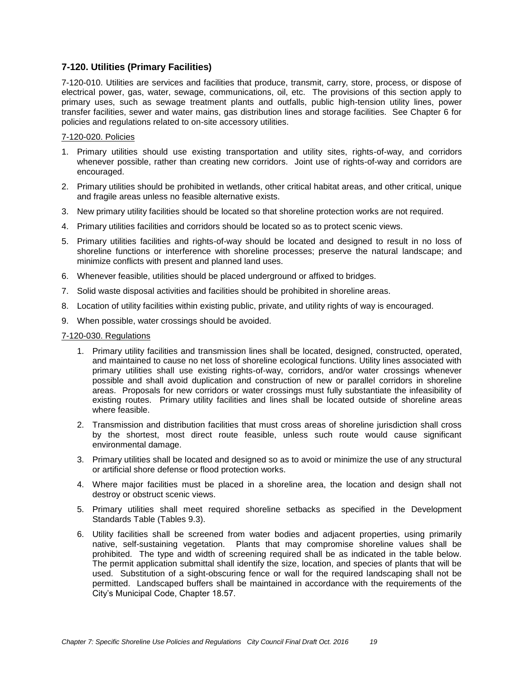# **7-120. Utilities (Primary Facilities)**

7-120-010. Utilities are services and facilities that produce, transmit, carry, store, process, or dispose of electrical power, gas, water, sewage, communications, oil, etc. The provisions of this section apply to primary uses, such as sewage treatment plants and outfalls, public high-tension utility lines, power transfer facilities, sewer and water mains, gas distribution lines and storage facilities. See Chapter 6 for policies and regulations related to on-site accessory utilities.

#### 7-120-020. Policies

- 1. Primary utilities should use existing transportation and utility sites, rights-of-way, and corridors whenever possible, rather than creating new corridors. Joint use of rights-of-way and corridors are encouraged.
- 2. Primary utilities should be prohibited in wetlands, other critical habitat areas, and other critical, unique and fragile areas unless no feasible alternative exists.
- 3. New primary utility facilities should be located so that shoreline protection works are not required.
- 4. Primary utilities facilities and corridors should be located so as to protect scenic views.
- 5. Primary utilities facilities and rights-of-way should be located and designed to result in no loss of shoreline functions or interference with shoreline processes; preserve the natural landscape; and minimize conflicts with present and planned land uses.
- 6. Whenever feasible, utilities should be placed underground or affixed to bridges.
- 7. Solid waste disposal activities and facilities should be prohibited in shoreline areas.
- 8. Location of utility facilities within existing public, private, and utility rights of way is encouraged.
- 9. When possible, water crossings should be avoided.

#### 7-120-030. Regulations

- 1. Primary utility facilities and transmission lines shall be located, designed, constructed, operated, and maintained to cause no net loss of shoreline ecological functions. Utility lines associated with primary utilities shall use existing rights-of-way, corridors, and/or water crossings whenever possible and shall avoid duplication and construction of new or parallel corridors in shoreline areas. Proposals for new corridors or water crossings must fully substantiate the infeasibility of existing routes. Primary utility facilities and lines shall be located outside of shoreline areas where feasible.
- 2. Transmission and distribution facilities that must cross areas of shoreline jurisdiction shall cross by the shortest, most direct route feasible, unless such route would cause significant environmental damage.
- 3. Primary utilities shall be located and designed so as to avoid or minimize the use of any structural or artificial shore defense or flood protection works.
- 4. Where major facilities must be placed in a shoreline area, the location and design shall not destroy or obstruct scenic views.
- 5. Primary utilities shall meet required shoreline setbacks as specified in the Development Standards Table (Tables 9.3).
- 6. Utility facilities shall be screened from water bodies and adjacent properties, using primarily native, self-sustaining vegetation. Plants that may compromise shoreline values shall be prohibited. The type and width of screening required shall be as indicated in the table below. The permit application submittal shall identify the size, location, and species of plants that will be used. Substitution of a sight-obscuring fence or wall for the required landscaping shall not be permitted. Landscaped buffers shall be maintained in accordance with the requirements of the City's Municipal Code, Chapter 18.57.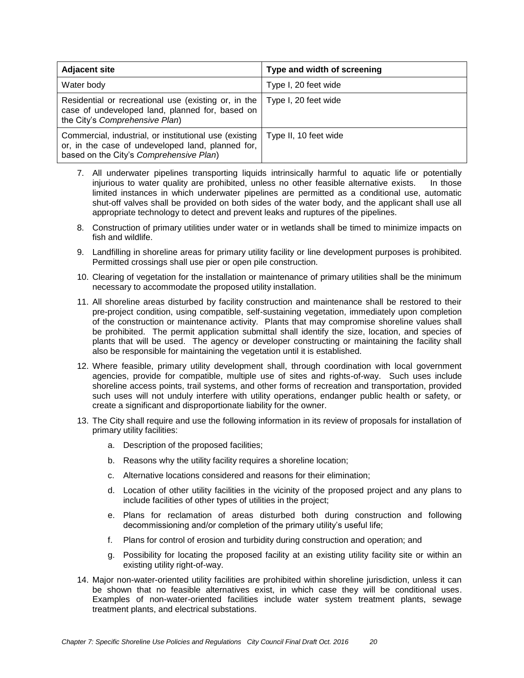| <b>Adjacent site</b>                                                                                                                                   | Type and width of screening |
|--------------------------------------------------------------------------------------------------------------------------------------------------------|-----------------------------|
| Water body                                                                                                                                             | Type I, 20 feet wide        |
| Residential or recreational use (existing or, in the<br>case of undeveloped land, planned for, based on<br>the City's Comprehensive Plan)              | Type I, 20 feet wide        |
| Commercial, industrial, or institutional use (existing<br>or, in the case of undeveloped land, planned for,<br>based on the City's Comprehensive Plan) | Type II, 10 feet wide       |

- 7. All underwater pipelines transporting liquids intrinsically harmful to aquatic life or potentially injurious to water quality are prohibited, unless no other feasible alternative exists. In those limited instances in which underwater pipelines are permitted as a conditional use, automatic shut-off valves shall be provided on both sides of the water body, and the applicant shall use all appropriate technology to detect and prevent leaks and ruptures of the pipelines.
- 8. Construction of primary utilities under water or in wetlands shall be timed to minimize impacts on fish and wildlife.
- 9. Landfilling in shoreline areas for primary utility facility or line development purposes is prohibited. Permitted crossings shall use pier or open pile construction.
- 10. Clearing of vegetation for the installation or maintenance of primary utilities shall be the minimum necessary to accommodate the proposed utility installation.
- 11. All shoreline areas disturbed by facility construction and maintenance shall be restored to their pre-project condition, using compatible, self-sustaining vegetation, immediately upon completion of the construction or maintenance activity. Plants that may compromise shoreline values shall be prohibited. The permit application submittal shall identify the size, location, and species of plants that will be used. The agency or developer constructing or maintaining the facility shall also be responsible for maintaining the vegetation until it is established.
- 12. Where feasible, primary utility development shall, through coordination with local government agencies, provide for compatible, multiple use of sites and rights-of-way. Such uses include shoreline access points, trail systems, and other forms of recreation and transportation, provided such uses will not unduly interfere with utility operations, endanger public health or safety, or create a significant and disproportionate liability for the owner.
- 13. The City shall require and use the following information in its review of proposals for installation of primary utility facilities:
	- a. Description of the proposed facilities;
	- b. Reasons why the utility facility requires a shoreline location;
	- c. Alternative locations considered and reasons for their elimination;
	- d. Location of other utility facilities in the vicinity of the proposed project and any plans to include facilities of other types of utilities in the project;
	- e. Plans for reclamation of areas disturbed both during construction and following decommissioning and/or completion of the primary utility's useful life;
	- f. Plans for control of erosion and turbidity during construction and operation; and
	- g. Possibility for locating the proposed facility at an existing utility facility site or within an existing utility right-of-way.
- 14. Major non-water-oriented utility facilities are prohibited within shoreline jurisdiction, unless it can be shown that no feasible alternatives exist, in which case they will be conditional uses. Examples of non-water-oriented facilities include water system treatment plants, sewage treatment plants, and electrical substations.